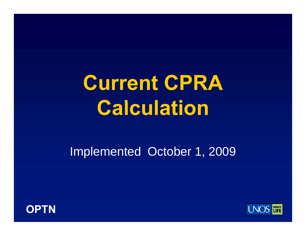# **Current CPRA C l l ti a lcuation**

Implemented October 1, 2009



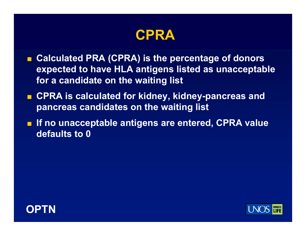

- Calculated PRA (CPRA) is the percentage of donors **expected to have HLA antigens listed as unacceptable for a candidate on the waiting list**
- **CPRA is calculated for kidney, kidney-pancreas and pancreas candidates on the waiting list**
- **If no unacceptable antigens are entered, CPRA value defaults to 0**



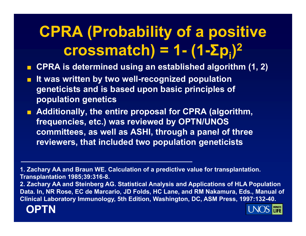#### **CPRA (Probability of a positive crossmatch) = 1- (1- Σ pi)**

**CPRA is determined using an established algorithm (1, 2)**

- F. **It was written by two well-recognized population geneticists and is based upon basic principles of pp g o pulation genetics**
- **Additionally, the entire proposal for CPRA (algorithm, frequencies, etc.) was reviewed by OPTN/UNOS**  committees, as well as ASHI, through a panel of three **reviewers, that included two population geneticists**

**1. Zachary AA and Braun WE. Calculation of a predictive value for transplantation. Transplantation 1985;39:316-8.**

**2. Zachary AA and Steinberg AG. Statistical Analysis and Applications of HLA Population**  Data. In, NR Rose, EC de Marcario, JD Folds, HC Lane, and RM Nakamura, Eds., Manual of **Clinical Laboratory Immunology, 5th Edition, Washington, DC, ASM Press, 1997:132-40.**



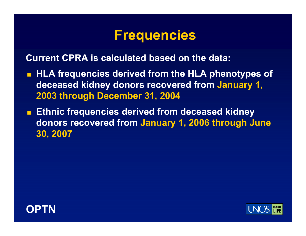### **Frequencies**

**Current CPRA is calculated based on the data:**

- **HLA frequencies derived from the HLA phenotypes of phenotypes deceased kidney donors recovered from January 1, 2003 through December 31, 2004**
- $\blacksquare$  **Ethnic frequencies derived from deceased kidney donors recovered from January 1, 2006 through June 30 2007 30,**



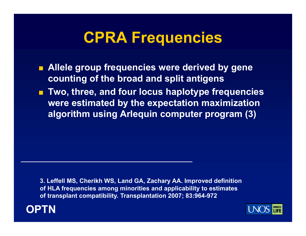### **CPRA Frequencies**

- **Allele group frequencies were derived by gene counting of the broad and split antigens**
- **Two, three, and four locus haplotype frequencies were estimated by the expectation maximization algorithm using Arlequin computer program (3)**

**3. Leffell MS, Cherikh WS, Land GA, Zachary AA. Improved definition of HLA frequencies among minorities and applicability to estimates of transplant compatibility. Transplantation 2007; 83:964-972** 



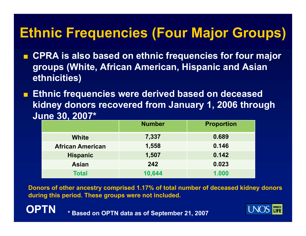### **Ethnic Frequencies (Four Major Groups)**

- Т, **CPRA is also based on ethnic frequencies for four major groups (White, African American, Hispanic and Asian ethnicities)**
- a. **Ethnic frequencies were derived based on deceased**  kidney donors recovered from January 1, 2006 through **June 30, 2007\***

|                         | <b>Number</b> | <b>Proportion</b> |
|-------------------------|---------------|-------------------|
| <b>White</b>            | 7,337         | 0.689             |
| <b>African American</b> | 1,558         | 0.146             |
| <b>Hispanic</b>         | 1,507         | 0.142             |
| <b>Asian</b>            | 242           | 0.023             |
| <b>Total</b>            | 10,644        | 1.000             |

**Donors of other ancestry comprised 1.17% of total number of deceased kidney donors during this period. These groups were not included.** 



**\* Based on OPTN data as of September 21, 2007**

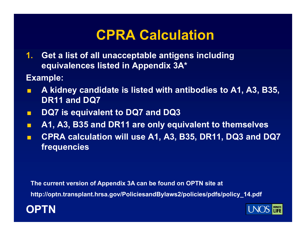### **CPRA Calculation**

- **1. Get a list of all unacceptable antigens including equivalences listed in Appendix 3A\***
- **Example:**
- F. **A kidney candidate is listed with antibodies to A1, A3, B35, DR11 and DQ7**
- п **DQ7 is equivalent to DQ7 and DQ3**
- $\blacksquare$ **A1, A3, B35 and DR11 are only equivalent to themselves**
- п **CPRA calculation will use A1, A3, B35, DR11, DQ3 and DQ7 frequencies**

**The current version of Appendix 3A can be found on OPTN site at**

http://optn.transplant.hrsa.gov/PoliciesandBylaws2/policies/pdfs/policy\_14.pdf



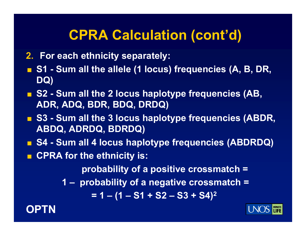### **CPRA Calculation (cont'd)**

- **2. For each ethnicity separately:**
- $\blacksquare$  **S1 Sum all the allele (1 locus) frequencies (A, B, DR, DQ)**
- S2 Sum all the 2 locus haplotype frequencies (AB, **ADR ADQ BDR BDQ DRDQ) ADR, ADQ, BDR, BDQ,**
- S3 Sum all the 3 locus haplotype frequencies (ABDR, **ABDQ, Q, Q) ADRDQ, BDRDQ)**
- **S4 - Sum all 4 locus haplotype frequencies (ABDRDQ)**
- **CPRA for the ethnicity is:**

**probability of a positive crossmatch =**

**1 – probability of a negative crossmatch =** 

**1 (1 S1 S2 S3 S4) 2 = 1 – (1 – S1 + S2 – S3 +** 



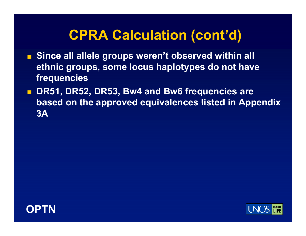### **CPRA Calculation (cont'd)**

- Since all allele groups weren't observed within all **ethnic groups, some locus haplotypes do not have frequencies**
- **DR51, DR52, DR53, Bw4 and Bw6 frequencies are based on the approved equivalences listed in Appendix 3A**



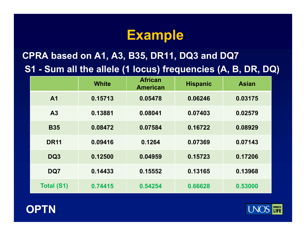### **Example**

### **CPRA based on A1, A3, B35, DR11, DQ3 and DQ7 S1 - Sum all the allele ( ) q (, , , ) 1 locus) frequencies (A, B, DR, DQ)**

|                   | <b>White</b> | <b>African</b><br><b>American</b> | <b>Hispanic</b> | <b>Asian</b> |
|-------------------|--------------|-----------------------------------|-----------------|--------------|
| A <sub>1</sub>    | 0.15713      | 0.05478                           | 0.06246         | 0.03175      |
| A3                | 0.13881      | 0.08041                           | 0.07403         | 0.02579      |
| <b>B35</b>        | 0.08472      | 0.07584                           | 0.16722         | 0.08929      |
| <b>DR11</b>       | 0.09416      | 0.1264                            | 0.07369         | 0.07143      |
| DQ3               | 0.12500      | 0.04959                           | 0.15723         | 0.17206      |
| DQ7               | 0.14433      | 0.15552                           | 0.13165         | 0.13968      |
| <b>Total (S1)</b> | 0.74415      | 0.54254                           | 0.66628         | 0.53000      |



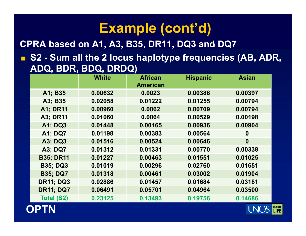**CPRA based on A1 A3 B35 DR11 DQ3 and DQ7 CPRA A1, A3, B35, DR11,** 

■ S2 - Sum all the 2 locus haplotype frequencies (AB, ADR, **ADQ, BDR, BDQ, DRDQ )**

|                   | <b>White</b> | <b>African</b>  | <b>Hispanic</b> | <b>Asian</b>     |
|-------------------|--------------|-----------------|-----------------|------------------|
|                   |              | <b>American</b> |                 |                  |
| A1; B35           | 0.00632      | 0.0023          | 0.00386         | 0.00397          |
| A3; B35           | 0.02058      | 0.01222         | 0.01255         | 0.00794          |
| <b>A1: DR11</b>   | 0.00960      | 0.0062          | 0.00709         | 0.00794          |
| <b>A3; DR11</b>   | 0.01060      | 0.0064          | 0.00529         | 0.00198          |
| A1; DQ3           | 0.01448      | 0.00165         | 0.00936         | 0.00904          |
| <b>A1; DQ7</b>    | 0.01198      | 0.00383         | 0.00564         | $\boldsymbol{0}$ |
| <b>A3: DQ3</b>    | 0.01516      | 0.00524         | 0.00646         | $\boldsymbol{0}$ |
| <b>A3: DQ7</b>    | 0.01312      | 0.01331         | 0.00770         | 0.00338          |
| <b>B35; DR11</b>  | 0.01227      | 0.00463         | 0.01551         | 0.01025          |
| <b>B35; DQ3</b>   | 0.01019      | 0.00296         | 0.02760         | 0.01651          |
| <b>B35; DQ7</b>   | 0.01318      | 0.00461         | 0.03002         | 0.01904          |
| <b>DR11; DQ3</b>  | 0.02886      | 0.01457         | 0.01684         | 0.03181          |
| <b>DR11; DQ7</b>  | 0.06491      | 0.05701         | 0.04964         | 0.03500          |
| <b>Total (S2)</b> | 0.23125      | 0.13493         | 0.19756         | 0.14686          |

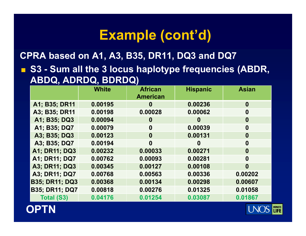**CPRA based on A1, A3, B35, DR11, DQ3 and DQ7**

 $\blacksquare$  **S3 - Sum all the 3 locus haplotype frequencies (ABDR, ABDQ, ADRDQ, BDRDQ)**

|                       | <b>White</b> | <b>African</b>  | <b>Hispanic</b> | <b>Asian</b>     |
|-----------------------|--------------|-----------------|-----------------|------------------|
|                       |              | <b>American</b> |                 |                  |
| A1; B35; DR11         | 0.00195      | $\bf{0}$        | 0.00236         | $\boldsymbol{0}$ |
| A3; B35; DR11         | 0.00198      | 0.00028         | 0.00062         | $\boldsymbol{0}$ |
| A1; B35; DQ3          | 0.00094      | $\bf{0}$        | $\bf{0}$        | $\boldsymbol{0}$ |
| A1; B35; DQ7          | 0.00079      | $\bf{0}$        | 0.00039         | $\boldsymbol{0}$ |
| A3; B35; DQ3          | 0.00123      | $\bf{0}$        | 0.00131         | $\boldsymbol{0}$ |
| A3; B35; DQ7          | 0.00194      | $\bf{0}$        | $\bf{0}$        | $\bf{0}$         |
| A1; DR11; DQ3         | 0.00232      | 0.00033         | 0.00271         | $\boldsymbol{0}$ |
| A1; DR11; DQ7         | 0.00762      | 0.00093         | 0.00281         | $\boldsymbol{0}$ |
| A3; DR11; DQ3         | 0.00345      | 0.00127         | 0.00108         | $\boldsymbol{0}$ |
| A3; DR11; DQ7         | 0.00768      | 0.00563         | 0.00336         | 0.00202          |
| <b>B35; DR11; DQ3</b> | 0.00368      | 0.00134         | 0.00298         | 0.00607          |
| <b>B35; DR11; DQ7</b> | 0.00818      | 0.00276         | 0.01325         | 0.01058          |
| <b>Total (S3)</b>     | 0.04176      | 0.01254         | 0.03087         | 0.01867          |



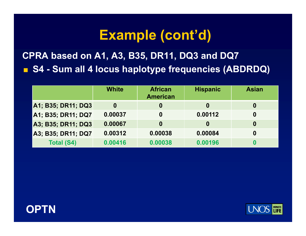**CPRA based on A1, A3, B35, DR11, DQ3 and DQ7**  $\blacksquare$  **S4 - Sum all 4 locus haplotype frequencies (ABDRDQ)** 

|                           | <b>White</b> | <b>African</b><br><b>American</b> | <b>Hispanic</b> | <b>Asian</b>     |
|---------------------------|--------------|-----------------------------------|-----------------|------------------|
| <b>A1; B35; DR11; DQ3</b> | $\bf{0}$     | 0                                 | $\bf{0}$        | $\boldsymbol{0}$ |
| A1; B35; DR11; DQ7        | 0.00037      | 0                                 | 0.00112         | $\boldsymbol{0}$ |
| A3; B35; DR11; DQ3        | 0.00067      | 0                                 | 0               | $\boldsymbol{0}$ |
| A3; B35; DR11; DQ7        | 0.00312      | 0.00038                           | 0.00084         | $\boldsymbol{0}$ |
| <b>Total (S4)</b>         | 0.00416      | 0.00038                           | 0.00196         | 0                |



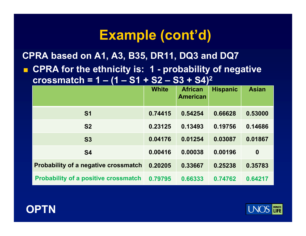**CPRA based on A1, A3, B35, DR11, DQ3 and DQ7**

 $\blacksquare$  $\blacksquare$  **CPRA for the ethnicity is: 1 - probability of negative crossmatch = 1 – (1 – S1 + S2 – S3 + S4) 2**

|                                             | <b>White</b> | <b>African</b><br><b>American</b> | <b>Hispanic</b> | <b>Asian</b>     |
|---------------------------------------------|--------------|-----------------------------------|-----------------|------------------|
|                                             |              |                                   |                 |                  |
| <b>S1</b>                                   | 0.74415      | 0.54254                           | 0.66628         | 0.53000          |
| <b>S2</b>                                   | 0.23125      | 0.13493                           | 0.19756         | 0.14686          |
| <b>S3</b>                                   | 0.04176      | 0.01254                           | 0.03087         | 0.01867          |
| <b>S4</b>                                   | 0.00416      | 0.00038                           | 0.00196         | $\boldsymbol{0}$ |
| <b>Probability of a negative crossmatch</b> | 0.20205      | 0.33667                           | 0.25238         | 0.35783          |
| <b>Probability of a positive crossmatch</b> | 0.79795      | 0.66333                           | 0.74762         | 0.64217          |



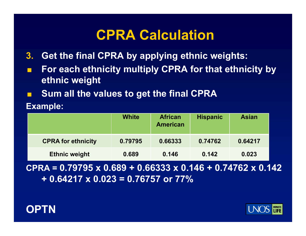### **CPRA Calculation**

- **3. Get the final CPRA by applying ethnic weights:**
- F. **For each ethnicity multiply CPRA for that ethnicity by ethnic weight**
- F. **Sum all the values to get the final CPRA**

**E l xamp e:** 

|                           | White   | <b>African</b><br><b>American</b> | <b>Hispanic</b> | <b>Asian</b> |
|---------------------------|---------|-----------------------------------|-----------------|--------------|
| <b>CPRA for ethnicity</b> | 0.79795 | 0.66333                           | 0.74762         | 0.64217      |
| <b>Ethnic weight</b>      | 0.689   | 0.146                             | 0.142           | 0.023        |

**CPRA = 0.79795 x 0.689 + 0.66333 x 0.146 + 0.74762 x 0.142 + 0.64217 x 0.023 = 0.76757 or 77%**



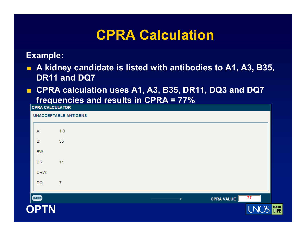### **CPRA Calculation**

#### **Example:**

- $\blacksquare$  **A kidney candidate is listed with antibodies to A1, A3, B35, DR11 and DQ7**
- $\blacksquare$  **CPRA calculation uses A1, A3, B35, DR11, DQ3 and DQ7**  <u> frequencies and results in CPRA = 77%</u>

| <b>CPRA CALCULATOR</b> |                              |  |                   |                 |                |
|------------------------|------------------------------|--|-------------------|-----------------|----------------|
|                        | <b>UNACCEPTABLE ANTIGENS</b> |  |                   |                 |                |
| A:                     | 13                           |  |                   |                 |                |
| B:                     | 35                           |  |                   |                 |                |
| BW:                    |                              |  |                   |                 |                |
| DR:                    | 11                           |  |                   |                 |                |
| DRW:                   |                              |  |                   |                 |                |
| DQ:                    | $\overline{7}$               |  |                   |                 |                |
| <b>BACK</b>            |                              |  | <b>CPRA VALUE</b> | $\overline{77}$ |                |
|                        |                              |  |                   |                 |                |
| <b>OPTN</b>            |                              |  |                   |                 | DONATE<br>LIFE |